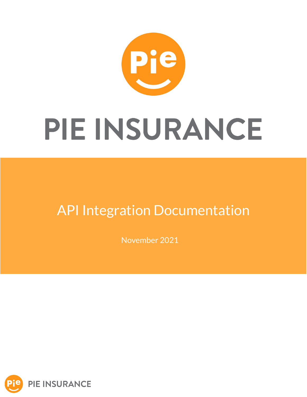

### API Integration Documentation

November 2021

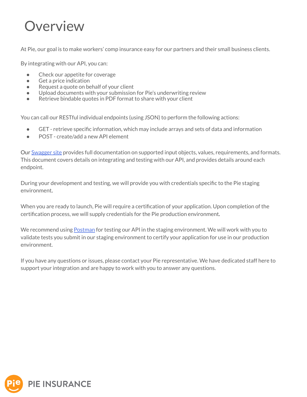#### Overview

At Pie, our goal is to make workers' comp insurance easy for our partners and their small business clients.

By integrating with our API, you can:

- Check our appetite for coverage
- Get a price indication
- Request a quote on behalf of your client
- Upload documents with your submission for Pie's underwriting review
- Retrieve bindable quotes in PDF format to share with your client

You can call our RESTful individual endpoints (using JSON) to perform the following actions:

- GET retrieve specific information, which may include arrays and sets of data and information
- POST create/add a new API element

Our [Swagger site](https://api.post-prod.pieinsurance.com/api/docs) provides full documentation on supported input objects, values, requirements, and formats. This document covers details on integrating and testing with our API, and provides details around each endpoint.

During your development and testing, we will provide you with credentials specific to the Pie staging environment.

When you are ready to launch, Pie will require a certification of your application. Upon completion of the certification process, we will supply credentials for the Pie production environment.

We recommend using [Postman](https://www.postman.com/downloads/) for testing our API in the staging environment. We will work with you to validate tests you submit in our staging environment to certify your application for use in our production environment.

If you have any questions or issues, please contact your Pie representative. We have dedicated staff here to support your integration and are happy to work with you to answer any questions.

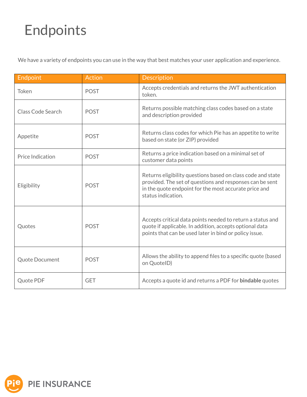# Endpoints

We have a variety of endpoints you can use in the way that best matches your user application and experience.

| Endpoint                | <b>Action</b> | <b>Description</b>                                                                                                                                                                                     |
|-------------------------|---------------|--------------------------------------------------------------------------------------------------------------------------------------------------------------------------------------------------------|
| Token                   | <b>POST</b>   | Accepts credentials and returns the JWT authentication<br>token.                                                                                                                                       |
| Class Code Search       | <b>POST</b>   | Returns possible matching class codes based on a state<br>and description provided                                                                                                                     |
| Appetite                | <b>POST</b>   | Returns class codes for which Pie has an appetite to write<br>based on state (or ZIP) provided                                                                                                         |
| <b>Price Indication</b> | <b>POST</b>   | Returns a price indication based on a minimal set of<br>customer data points                                                                                                                           |
| Eligibility             | <b>POST</b>   | Returns eligibility questions based on class code and state<br>provided. The set of questions and responses can be sent<br>in the quote endpoint for the most accurate price and<br>status indication. |
| Quotes                  | <b>POST</b>   | Accepts critical data points needed to return a status and<br>quote if applicable. In addition, accepts optional data<br>points that can be used later in bind or policy issue.                        |
| <b>Quote Document</b>   | <b>POST</b>   | Allows the ability to append files to a specific quote (based<br>on QuotelD)                                                                                                                           |
| Quote PDF               | <b>GET</b>    | Accepts a quote id and returns a PDF for <b>bindable</b> quotes                                                                                                                                        |

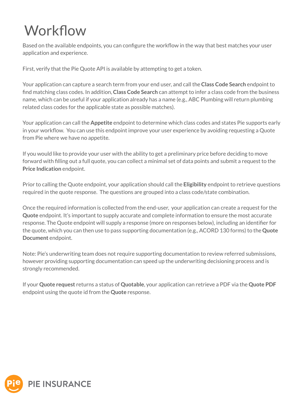# **Workflow**

Based on the available endpoints, you can configure the workflow in the way that best matches your user application and experience.

First, verify that the Pie Quote API is available by attempting to get a token.

Your application can capture a search term from your end user, and call the **Class Code Search** endpoint to find matching class codes. In addition, **Class Code Search** can attempt to infer a class code from the business name, which can be useful if your application already has a name (e.g., ABC Plumbing will return plumbing related class codes for the applicable state as possible matches).

Your application can call the **Appetite** endpoint to determine which class codes and states Pie supports early in your workflow. You can use this endpoint improve your user experience by avoiding requesting a Quote from Pie where we have no appetite.

If you would like to provide your user with the ability to get a preliminary price before deciding to move forward with filling out a full quote, you can collect a minimal set of data points and submit a request to the **Price Indication** endpoint.

Prior to calling the Quote endpoint, your application should call the **Eligibility** endpoint to retrieve questions required in the quote response. The questions are grouped into a class code/state combination.

Once the required information is collected from the end-user, your application can create a request for the **Quote** endpoint. It's important to supply accurate and complete information to ensure the most accurate response. The Quote endpoint will supply a response (more on responses below), including an identifier for the quote, which you can then use to pass supporting documentation (e.g., ACORD 130 forms) to the **Quote Document** endpoint.

Note: Pie's underwriting team does not require supporting documentation to review referred submissions, however providing supporting documentation can speed up the underwriting decisioning process and is strongly recommended.

If your **Quote request** returns a status of **Quotable**, your application can retrieve a PDF via the **Quote PDF** endpoint using the quote id from the **Quote** response.

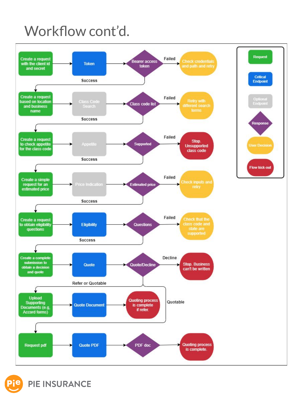### Workflow cont'd.



Critical **Endpoint** Optional<br>Endpoin **Response Flow kick-out** 

**PIE INSURANCE**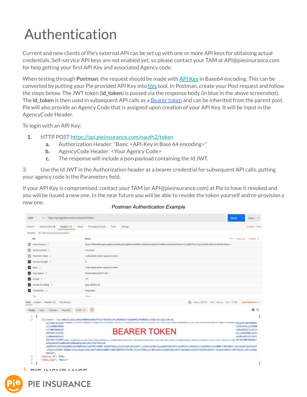# Authentication

Current and new clients of Pie's external API can be set up with one or more API keys for obtaining actual credentials. Self-service API keys are not enabled yet, so please contact your TAM at API@piesinurance.com for help getting your first API Key and associated Agency code.

When testing through **Postman**, the request should be made with [API Key](https://learning.postman.com/docs/sending-requests/authorization/#api-key) in Base64 encoding. This can be converted by putting your Pie provided API Key into [this](https://www.base64encode.org/) tool. In Postman, create your Post request and follow the steps below. The JWT token (**id\_token**) is passed via the response body (in blue in the above screenshot). The **id\_token** is then used in subsequent API calls as a [Bearer token](https://learning.postman.com/docs/sending-requests/authorization/#bearer-token) and can be inherited from the parent post. Pie will also provide an Agency Code that is assigned upon creation of your API Key. It will be input in the AgencyCode Header.

To login with an API Key:

**PIE INSURANCE** 

- 1. HTTP POST<https://api.pieinsurance.com/oauth2/token>
	- a. Authorization Header: "Basic <API-Key in Base 64 encoding>"
	- b. AgencyCode Header: <Your Agency Code>
	- c. The response will include a json payload containing the Id JWT.

3. Use the Id JWT in the Authorization header as a bearer credential for subsequent API calls, putting your agency code in the Parameters field.

If your API Key is compromised, contact your TAM (or API@pieinsurance.com) at Pie to have it revoked and you will be issued a new one. In the near future you will be able to revoke the token yourself and re-provision a new one.

|                                                        | https://api-stg.pleinsurance.com/oauth2/token                                                                                                                                                                                                                                                                                                      | Send<br>Save                                                   |
|--------------------------------------------------------|----------------------------------------------------------------------------------------------------------------------------------------------------------------------------------------------------------------------------------------------------------------------------------------------------------------------------------------------------|----------------------------------------------------------------|
| Authorization ·<br>Headers (9)<br><b>Planams</b>       | Pre-request Script:<br>Tests.<br>Settings<br>Body                                                                                                                                                                                                                                                                                                  | Cookies Code                                                   |
| Headers<br>49 Hide auto-generated headers.             |                                                                                                                                                                                                                                                                                                                                                    |                                                                |
| <b>NEY</b>                                             | WALLINE                                                                                                                                                                                                                                                                                                                                            | ere Bulk Edit Frederik w                                       |
| Authorization                                          | Basic N3RwMDkxdjhhcjd0bmUxbDhpZ25lajBsNrrik0MM1zOGMxdHLlyMHVrOHBkdms5bDA0afNwYmVucjR0OTFhCffhjcmI4ZDhnbWc2YzNxOG10Nwm=                                                                                                                                                                                                                             |                                                                |
| Cache-Control (3)                                      | no-cache.                                                                                                                                                                                                                                                                                                                                          |                                                                |
| Fostman-Token                                          | <calculated is="" request="" sent="" when=""></calculated>                                                                                                                                                                                                                                                                                         |                                                                |
| Comerc-Length<br>ø                                     | o                                                                                                                                                                                                                                                                                                                                                  |                                                                |
| и<br>Host (ii)                                         | <calculated is="" request="" sent="" when=""></calculated>                                                                                                                                                                                                                                                                                         |                                                                |
| User-Agent                                             | PostmanRuntime/7.26.1                                                                                                                                                                                                                                                                                                                              |                                                                |
| Accept (I)                                             | 4/4                                                                                                                                                                                                                                                                                                                                                |                                                                |
| Accept-Encoding (2)<br>ø                               | gzip, deflate. br                                                                                                                                                                                                                                                                                                                                  |                                                                |
| Connection: 0                                          | keep alive                                                                                                                                                                                                                                                                                                                                         |                                                                |
| Kay                                                    | Value                                                                                                                                                                                                                                                                                                                                              |                                                                |
| <b>Test Results</b><br>Hody.<br>Cookies Headers (B)    |                                                                                                                                                                                                                                                                                                                                                    | San Sanus: 200 CHC Time: 1302 ms Size: 1.79 KB Save Response + |
| Visualize<br><b>Pretty</b><br><b>R266</b><br>Prizulate | pow +<br>毒                                                                                                                                                                                                                                                                                                                                         | ÷<br>Q                                                         |
|                                                        |                                                                                                                                                                                                                                                                                                                                                    |                                                                |
|                                                        | "id_token": "cyJraWbiDiJ6dlprN3dvRHBRUEhNNdVT1wvTkRrNDlkYwtZRGRFNJlrcUhpMVRCbTRSMD8iLCJhbGcGDiJSUzI1NiJ9,                                                                                                                                                                                                                                          |                                                                |
| LCJ1dXNBb2BEbG                                         |                                                                                                                                                                                                                                                                                                                                                    | uV29tXC91cy13ZXN8                                              |
| LTJ fIMF 6NrNydE<br>ZWSTbnFtZSI6IA                     | <b>BEARER TOKEN</b>                                                                                                                                                                                                                                                                                                                                | u2Nowb02pTiwi2212<br>kTjoiR3RWMDkxdjhh                         |
|                                                        |                                                                                                                                                                                                                                                                                                                                                    | vhiBHcmWlcCIsImF1                                              |
| cjd0bmlkb0hpZ2                                         | dGNfdG1t2SI6MTuswurspregweukszenes.plumi.nam.ju.awgzu.upwww.exocresszara.com.me.com.exoc.cress.asam.me.com/szeni/szeni/szeni/szeni/argweukszeni/www.examw.com/voi.gev.tomgas.urupm26C16InN0YNdgbncf                                                                                                                                                |                                                                |
|                                                        |                                                                                                                                                                                                                                                                                                                                                    |                                                                |
| aG9ydG9uX2FwaWksaWVudE8waWVpbrN1cmFuY20uY29tIn0.       |                                                                                                                                                                                                                                                                                                                                                    |                                                                |
|                                                        | ekiRPfafnt61LMeSpENHenbAtNQBSCWsFaeEf89L18WWP-qX50Q7VQdLbu3ze22vbXrgE2Jq9tP_siZx0JJqfW6z7qjepqBSTuMsZJEtck4sKVe3rzzDkQJDjLZcaUBsRKSicOwIBW0cfJNknHK51-U2uCqeWYXj8xDJSZP5<br>hTqytxcD150D-INBgBcjDfanz4agnteoHGjRUE7GWT6qVyWYGnSyWDLQDKZ8s4Th615BjJZjel2VEMxjzw-8Benu0vwJvg8DGYgDGjVFn7L9p1BwACv2egVTs5Bo6WrBAd3rlzKzgha1nBh6CrvRPTa9yAA_xgSz1jD4QL |                                                                |
| DO:01A",                                               |                                                                                                                                                                                                                                                                                                                                                    |                                                                |
| "expires in": 3600,<br>3                               |                                                                                                                                                                                                                                                                                                                                                    |                                                                |
| $\boldsymbol{4}$<br>"token type": "Bearer"<br>5        |                                                                                                                                                                                                                                                                                                                                                    |                                                                |

#### *Postman Authentication Example*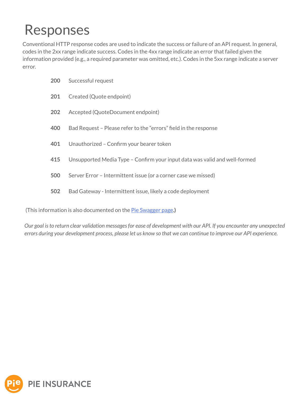### Responses

Conventional HTTP response codes are used to indicate the success or failure of an API request. In general, codes in the 2xx range indicate success. Codes in the 4xx range indicate an error that failed given the information provided (e.g., a required parameter was omitted, etc.). Codes in the 5xx range indicate a server error.

| 200 | Successful request                                                         |
|-----|----------------------------------------------------------------------------|
| 201 | Created (Quote endpoint)                                                   |
| 202 | Accepted (QuoteDocument endpoint)                                          |
| 400 | Bad Request – Please refer to the "errors" field in the response           |
| 401 | Unauthorized - Confirm your bearer token                                   |
| 415 | Unsupported Media Type - Confirm your input data was valid and well-formed |
| 500 | Server Error - Intermittent issue (or a corner case we missed)             |
| 502 | Bad Gateway - Intermittent issue, likely a code deployment                 |
|     |                                                                            |

(This information is also documented on the [Pie Swagger page](https://api.post-prod.pieinsurance.com/api/docs).)

*Our goal is to return clear validation messages for ease of development with our API. If you encounter any unexpected errors during your development process, please let us know so that we can continue to improve our API experience.*

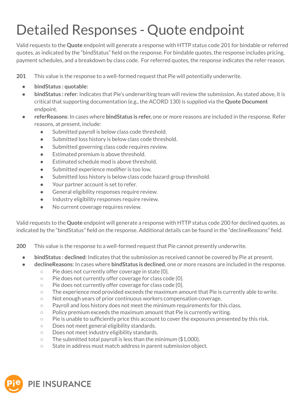# Detailed Responses - Quote endpoint

Valid requests to the **Quote** endpoint will generate a response with HTTP status code 201 for bindable or referred quotes, as indicated by the "bindStatus" field on the response. For bindable quotes, the response includes pricing, payment schedules, and a breakdown by class code. For referred quotes, the response indicates the refer reason.

**201** This value is the response to a well-formed request that Pie will potentially underwrite.

- **bindStatus : quotable:**
- **• bindStatus : refer**: Indicates that Pie's underwriting team will review the submission. As stated above, it is critical that supporting documentation (e.g., the ACORD 130) is supplied via the **Quote Document** endpoint.
- **referReasons**: In cases where **bindStatus is refer,** one or more reasons are included in the response. Refer reasons, at present, include:
	- Submitted payroll is below class code threshold.
	- Submitted loss history is below class code threshold.
	- Submitted governing class code requires review.
	- Estimated premium is above threshold.
	- Estimated schedule mod is above threshold.
	- Submitted experience modifier is too low.
	- Submitted loss history is below class code hazard group threshold.
	- Your partner account is set to refer.
	- General eligibility responses require review.
	- Industry eligibility responses require review.
	- No current coverage requires review.

Valid requests to the **Quote** endpoint will generate a response with HTTP status code 200 for declined quotes, as indicated by the "bindStatus" field on the response. Additional details can be found in the "declineReasons" field.

**200** This value is the response to a well-formed request that Pie cannot presently underwrite.

- **• bindStatus : declined**: Indicates that the submission as received cannot be covered by Pie at present.
- **declineReasons**: In cases where **bindStatus is declined**, one or more reasons are included in the response.
	- Pie does not currently offer coverage in state {0}.
	- Pie does not currently offer coverage for class code {0}.
	- Pie does not currently offer coverage for class code {0}.
	- $\circ$  The experience mod provided exceeds the maximum amount that Pie is currently able to write.
	- Not enough years of prior continuous workers compensation coverage.
	- Payroll and loss history does not meet the minimum requirements for this class.
	- $\circ$  Policy premium exceeds the maximum amount that Pie is currently writing.
	- Pie is unable to sufficiently price this account to cover the exposures presented by this risk.
	- Does not meet general eligibility standards.
	- Does not meet industry eligibility standards.
	- $\circ$  The submitted total payroll is less than the minimum (\$1,000).
	- State in address must match address in parent submission object.

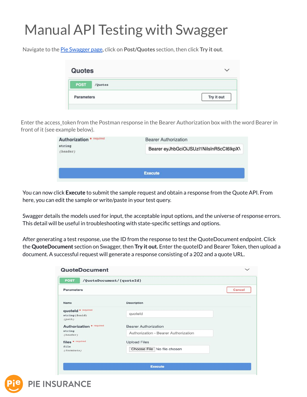# Manual API Testing with Swagger

Navigate to the [Pie Swagger page,](https://api.post-prod.pieinsurance.com/api/docs) click on **Post/Quotes** section, then click **Try it out**.

| <b>Quotes</b>     |         | $\checkmark$ |
|-------------------|---------|--------------|
| <b>POST</b>       | /Quotes |              |
| <b>Parameters</b> |         | Try it out   |

Enter the access\_token from the Postman response in the Bearer Authorization box with the word Bearer in front of it (see example below).

| <b>Authorization * required</b> | <b>Bearer Authorization</b>              |  |
|---------------------------------|------------------------------------------|--|
| string<br>(header)              | Bearer eyJhbGciOiJSUzI1NilsInR5cCl6lkpX\ |  |
|                                 | <b>Execute</b>                           |  |

You can now click **Execute** to submit the sample request and obtain a response from the Quote API. From here, you can edit the sample or write/paste in your test query.

Swagger details the models used for input, the acceptable input options, and the universe of response errors. This detail will be useful in troubleshooting with state-specific settings and options.

After generating a test response, use the ID from the response to test the QuoteDocument endpoint. Click the **QuoteDocument** section on Swagger, then **Try it out.** Enter the quoteID and Bearer Token, then upload a document. A successful request will generate a response consisting of a 202 and a quote URL.

| <b>Parameters</b>                              |                                      | Cancel |
|------------------------------------------------|--------------------------------------|--------|
| Name                                           | <b>Description</b>                   |        |
| quoteld * required<br>string(\$uuid)<br>(path) | quoteld                              |        |
| <b>Authorization * required</b>                | <b>Bearer Authorization</b>          |        |
| string<br>(header)                             | Authorization - Bearer Authorization |        |
| files * required                               | <b>Upload Files</b>                  |        |
| file<br>(formData)                             | Choose File No file chosen           |        |



**PIE INSURANCE**